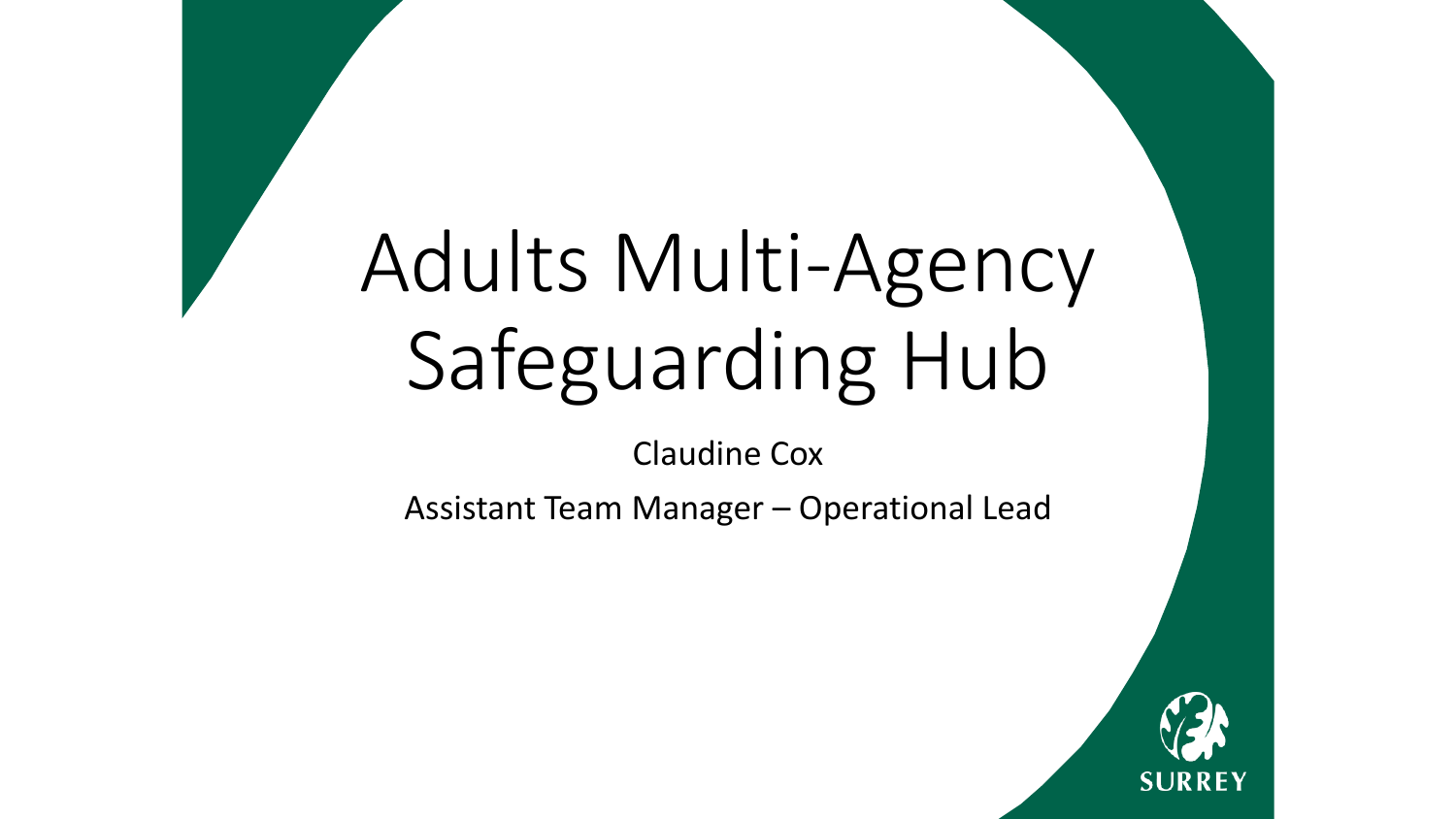# Adults Multi-Agency Safeguarding Hub

Claudine Cox

Assistant Team Manager – Operational Lead

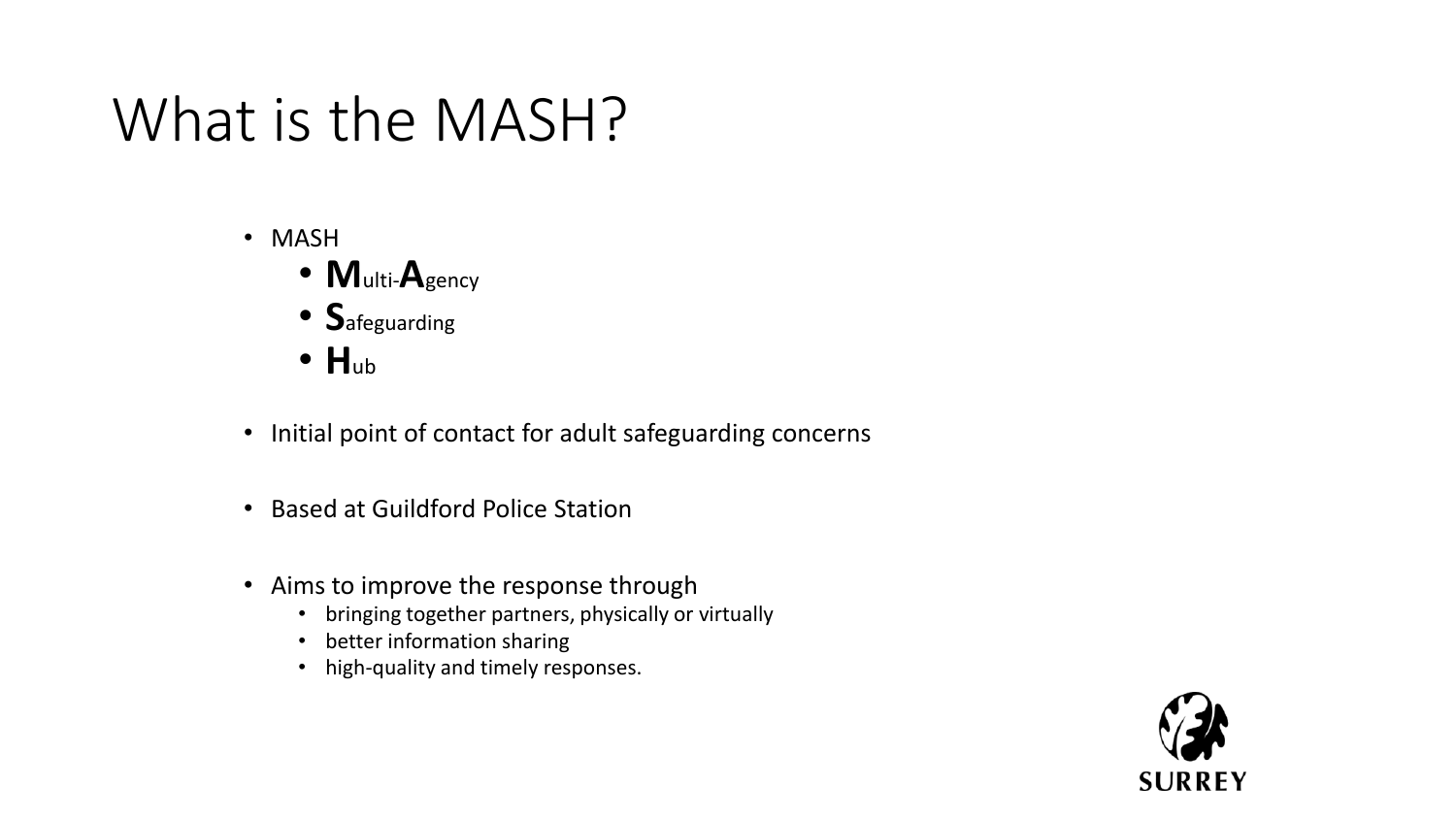### What is the MASH?

- MASH
	- **M**ulti-**A**gency
	- **S**afeguarding
	- **H**ub
- Initial point of contact for adult safeguarding concerns
- Based at Guildford Police Station
- Aims to improve the response through
	- bringing together partners, physically or virtually
	- better information sharing
	- high-quality and timely responses.

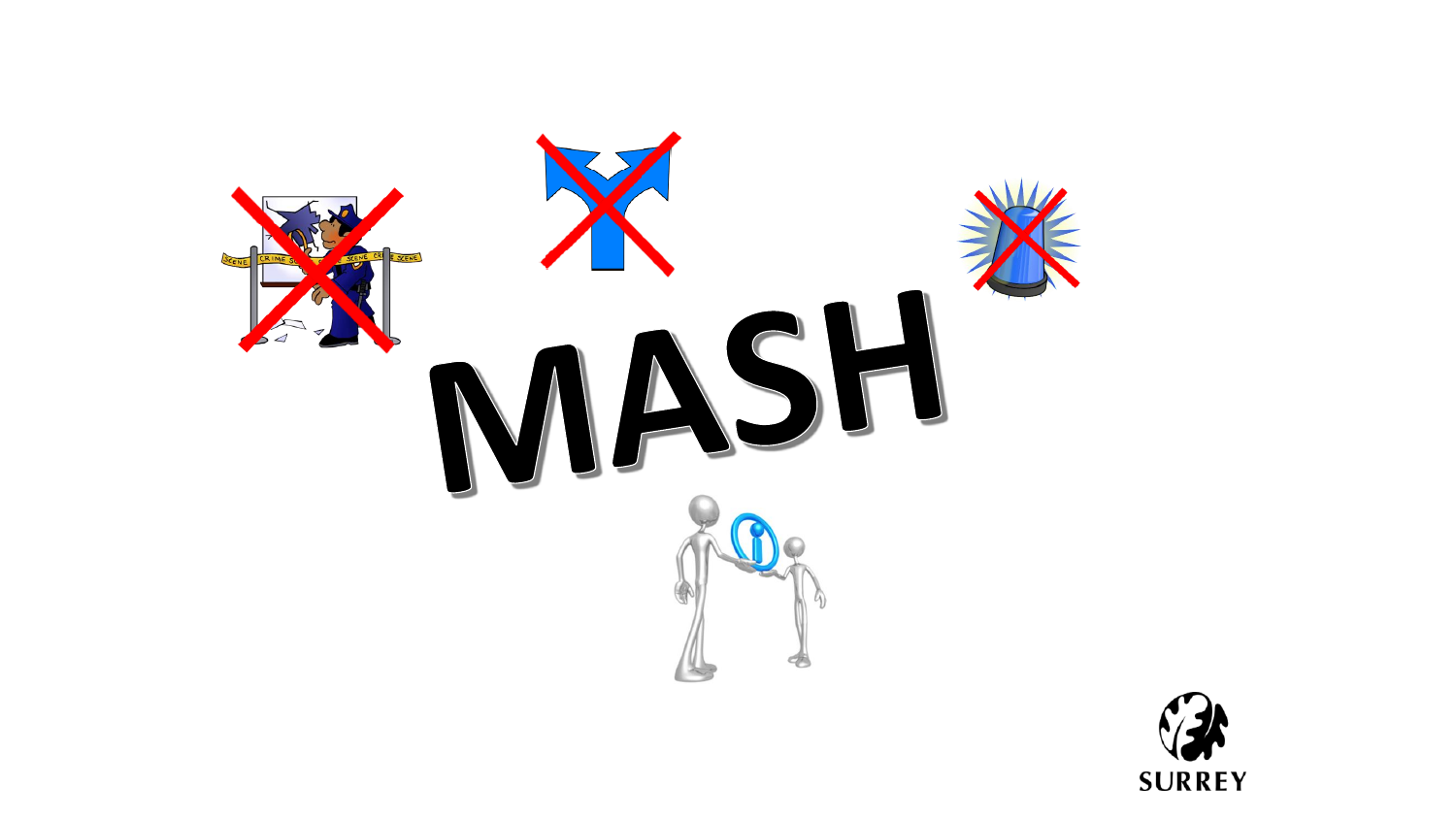

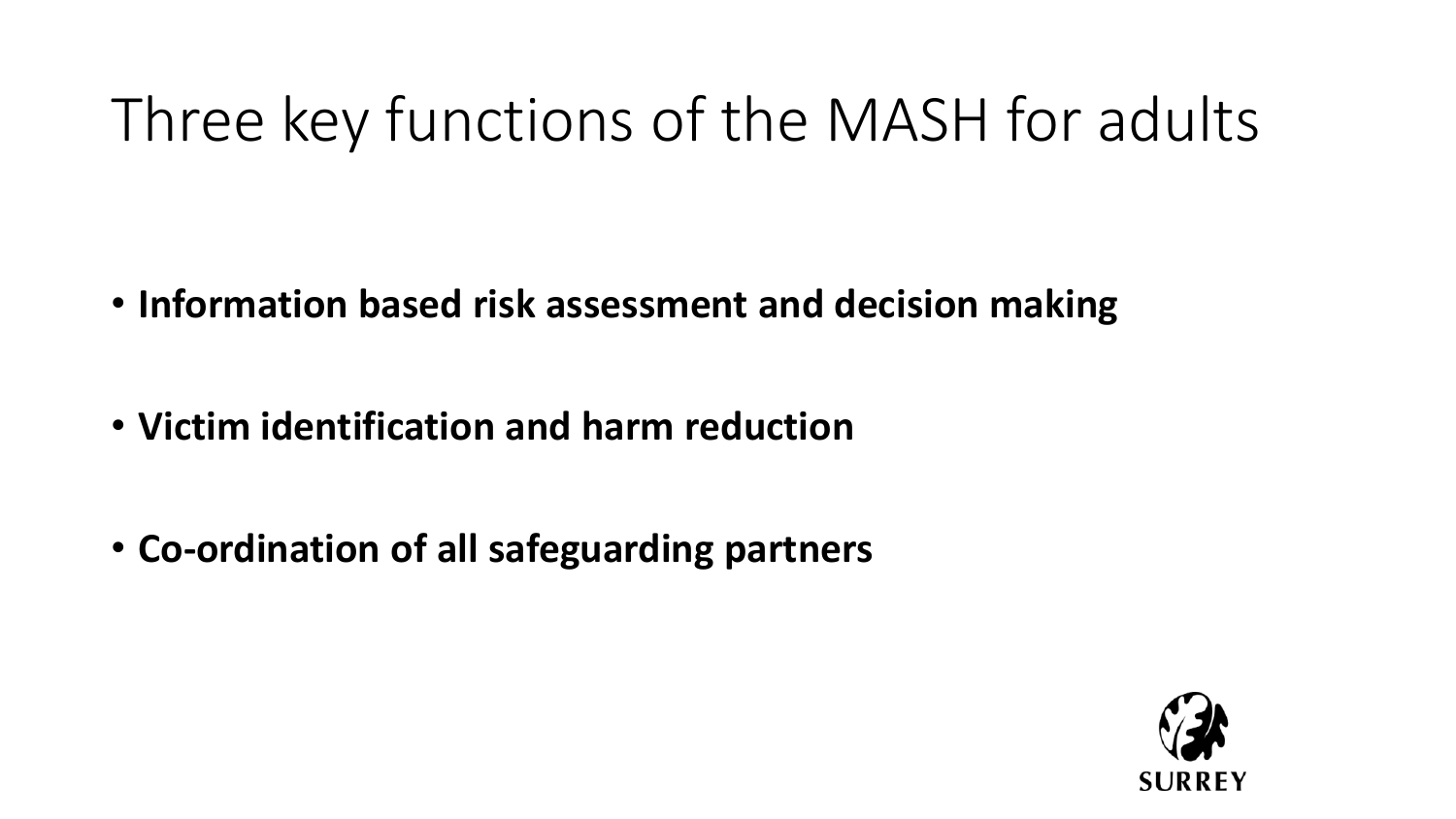## Three key functions of the MASH for adults

- **Information based risk assessment and decision making**
- **Victim identification and harm reduction**
- **Co-ordination of all safeguarding partners**

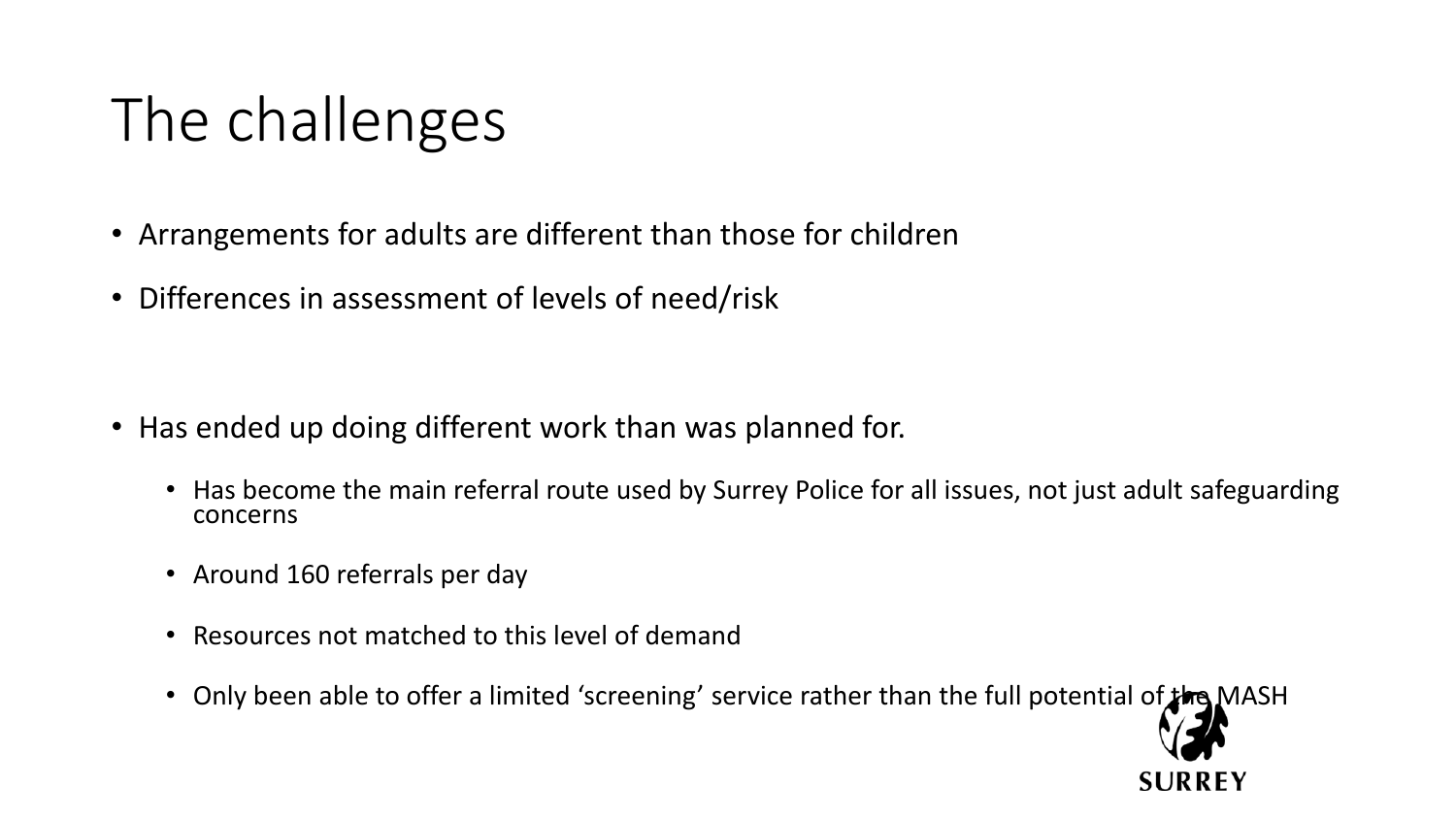## The challenges

- Arrangements for adults are different than those for children
- Differences in assessment of levels of need/risk

- Has ended up doing different work than was planned for.
	- Has become the main referral route used by Surrey Police for all issues, not just adult safeguarding concerns
	- Around 160 referrals per day
	- Resources not matched to this level of demand
	- Only been able to offer a limited 'screening' service rather than the full potential of the MASH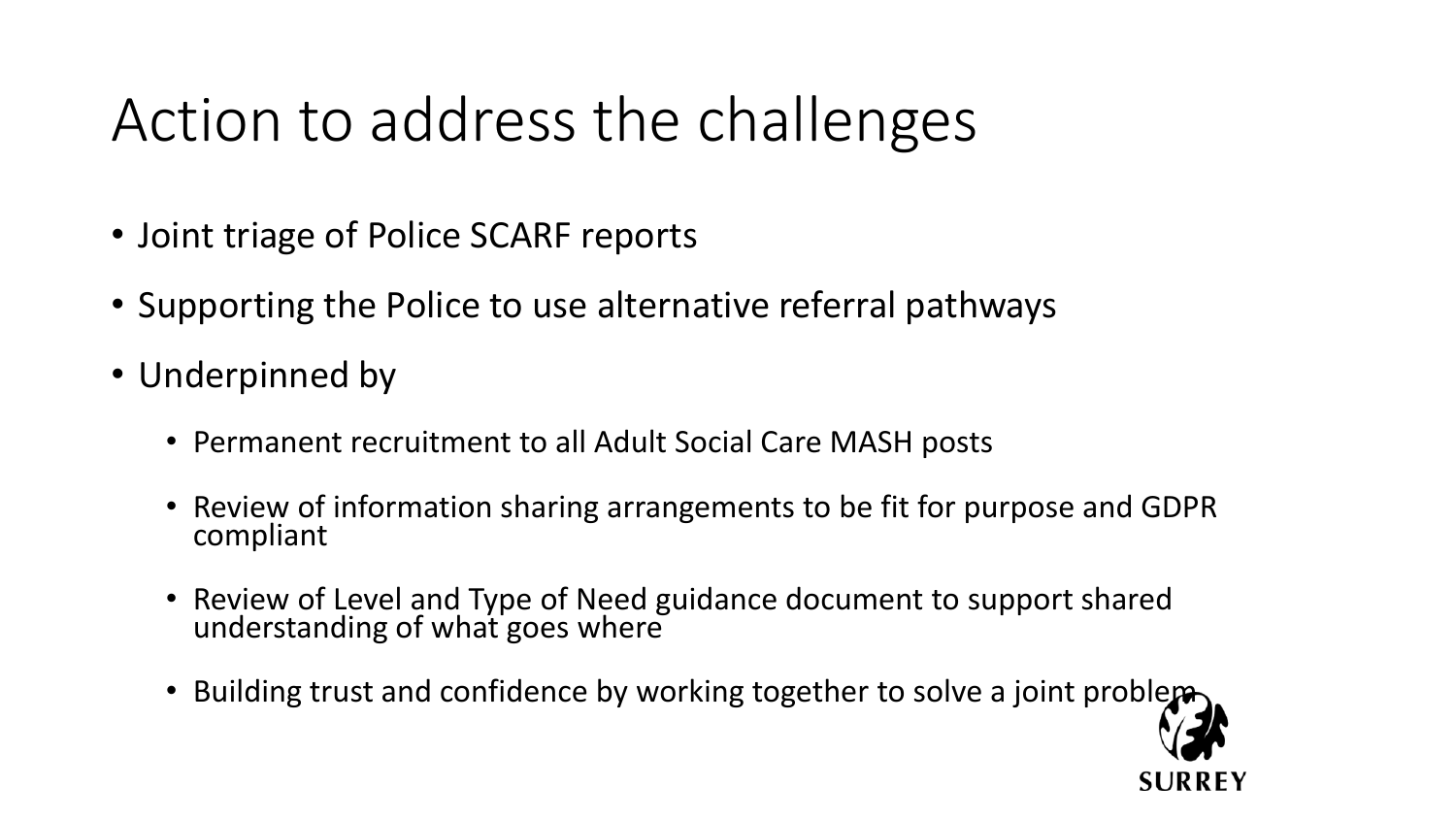### Action to address the challenges

- Joint triage of Police SCARF reports
- Supporting the Police to use alternative referral pathways
- Underpinned by
	- Permanent recruitment to all Adult Social Care MASH posts
	- Review of information sharing arrangements to be fit for purpose and GDPR compliant
	- Review of Level and Type of Need guidance document to support shared understanding of what goes where
	- Building trust and confidence by working together to solve a joint problem-

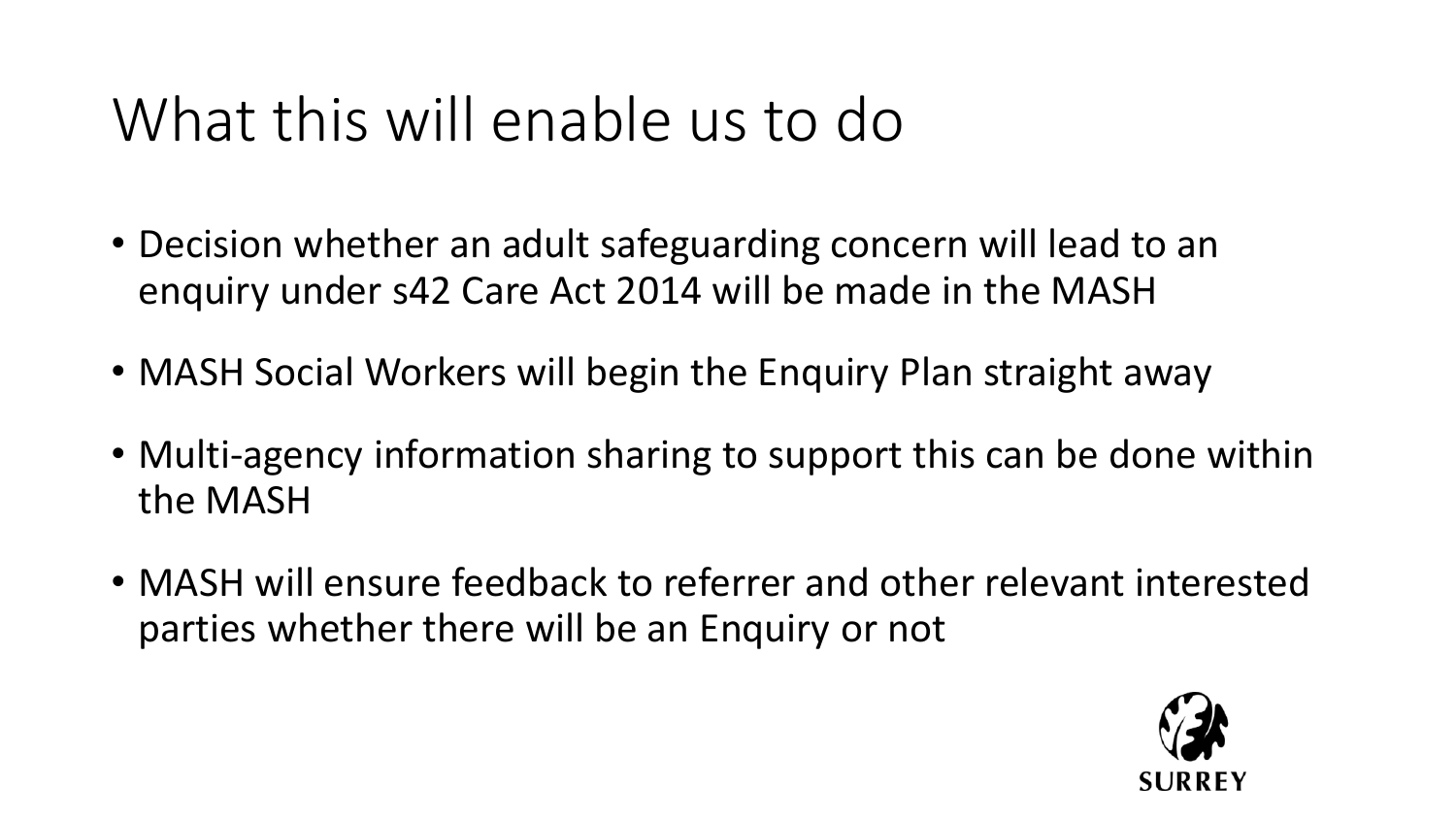### What this will enable us to do

- Decision whether an adult safeguarding concern will lead to an enquiry under s42 Care Act 2014 will be made in the MASH
- MASH Social Workers will begin the Enquiry Plan straight away
- Multi-agency information sharing to support this can be done within the MASH
- MASH will ensure feedback to referrer and other relevant interested parties whether there will be an Enquiry or not

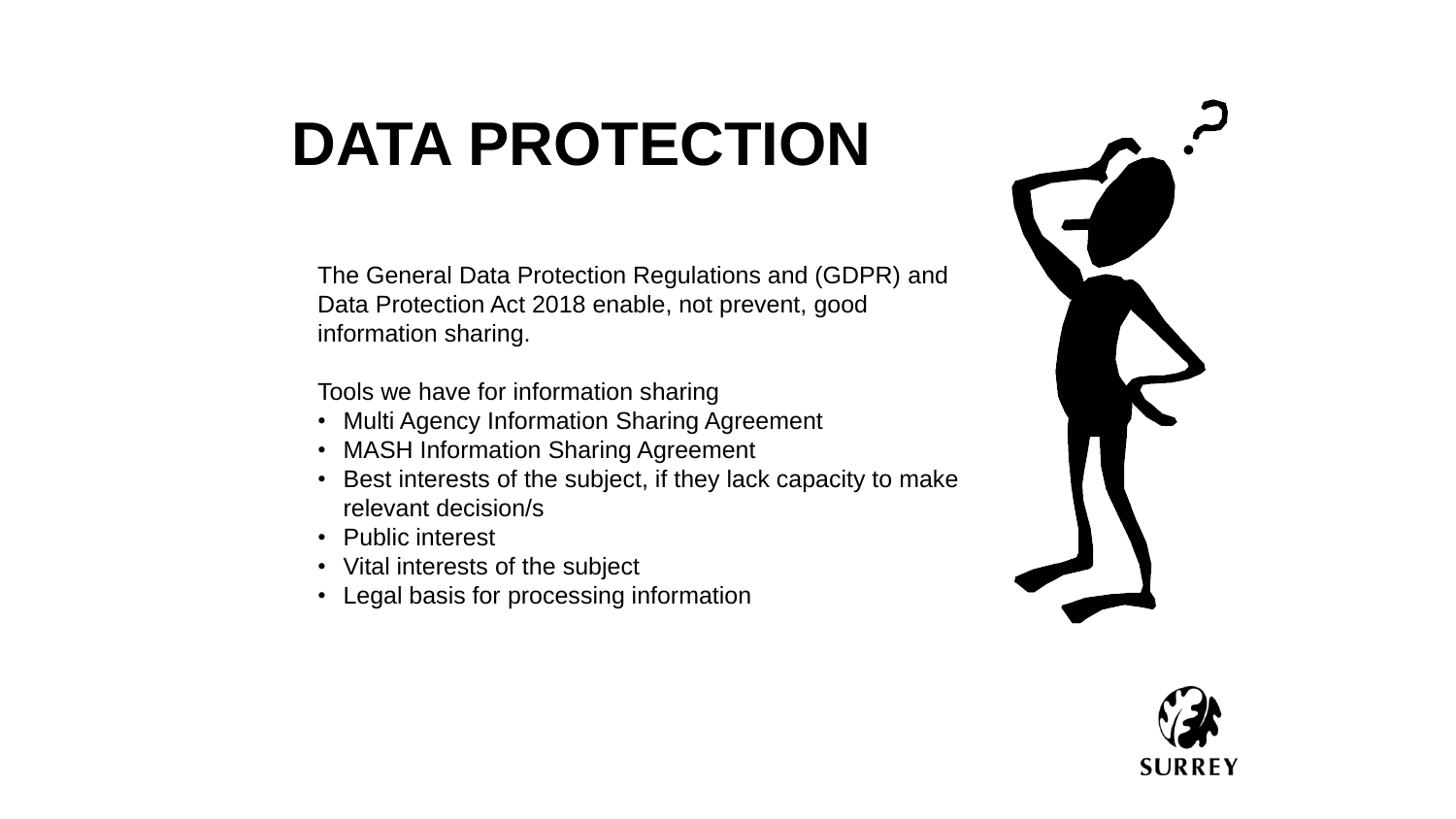## **DATA PROTECTION**

The General Data Protection Regulations and (GDPR) and Data Protection Act 2018 enable, not prevent, good information sharing.

Tools we have for information sharing

- Multi Agency Information Sharing Agreement
- MASH Information Sharing Agreement
- Best interests of the subject, if they lack capacity to make relevant decision/s
- Public interest
- Vital interests of the subject
- Legal basis for processing information



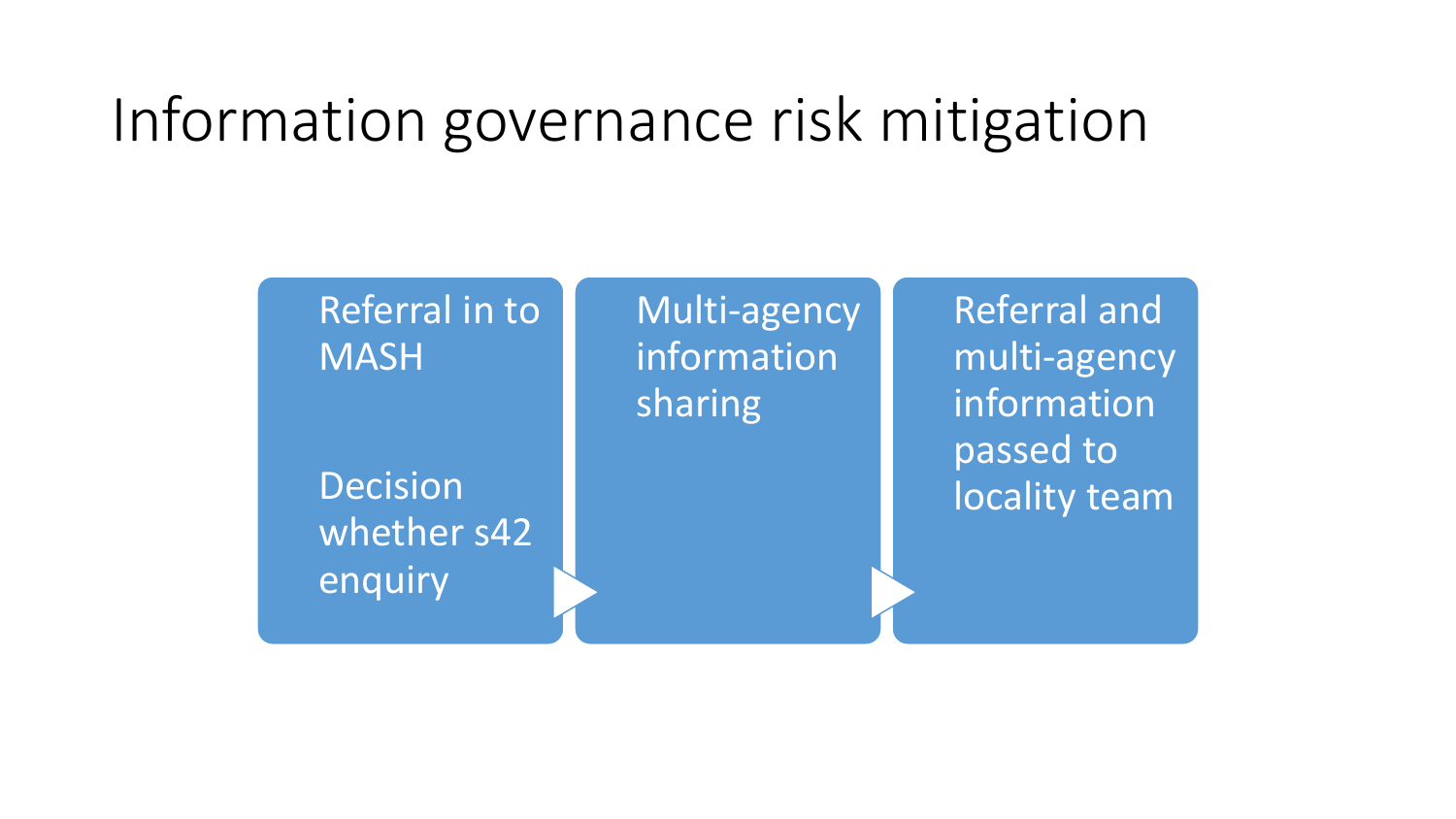### Information governance risk mitigation

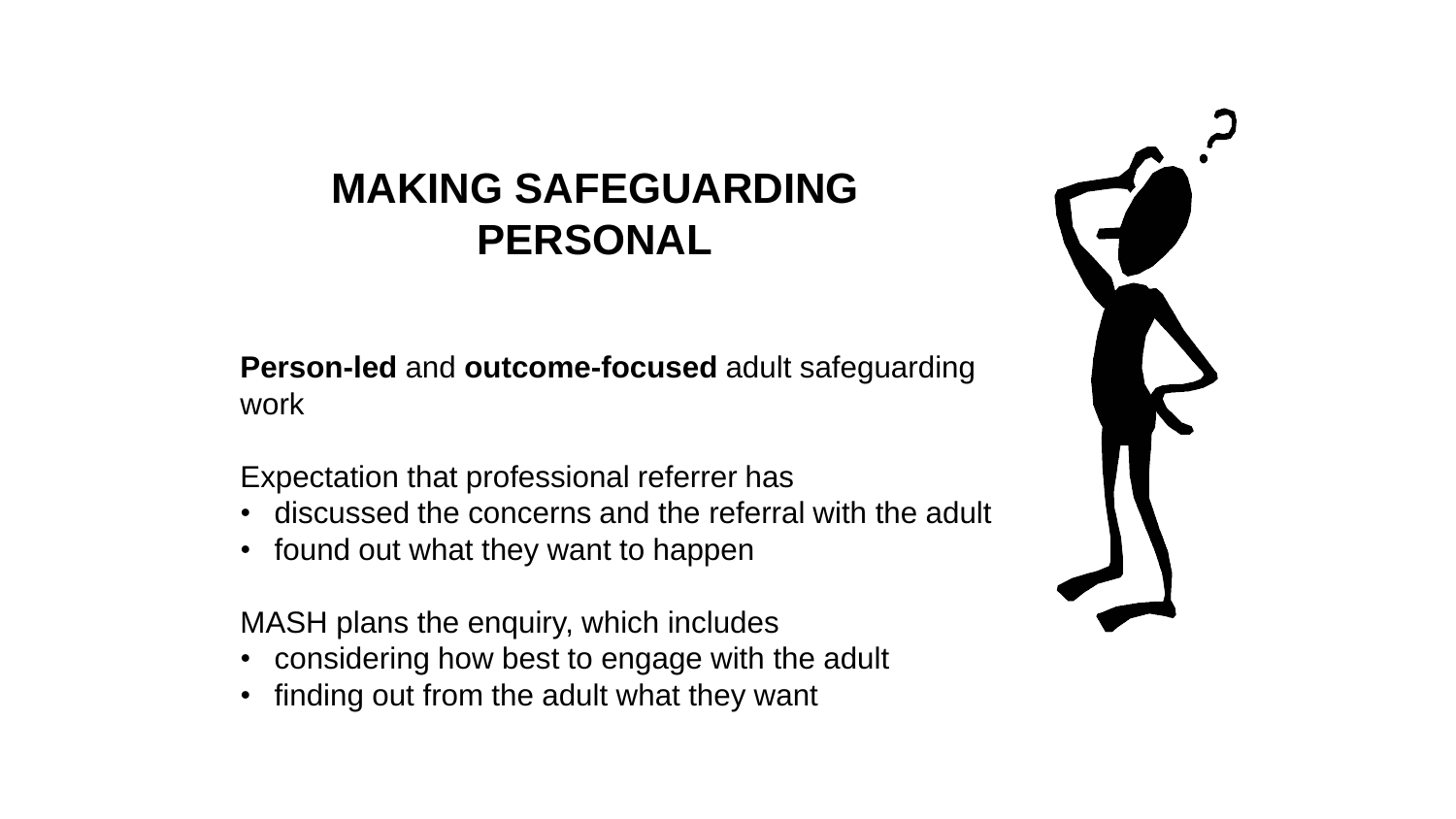### **MAKING SAFEGUARDING PERSONAL**

**Person-led** and **outcome-focused** adult safeguarding work

Expectation that professional referrer has

- discussed the concerns and the referral with the adult
- found out what they want to happen

MASH plans the enquiry, which includes

- considering how best to engage with the adult
- finding out from the adult what they want

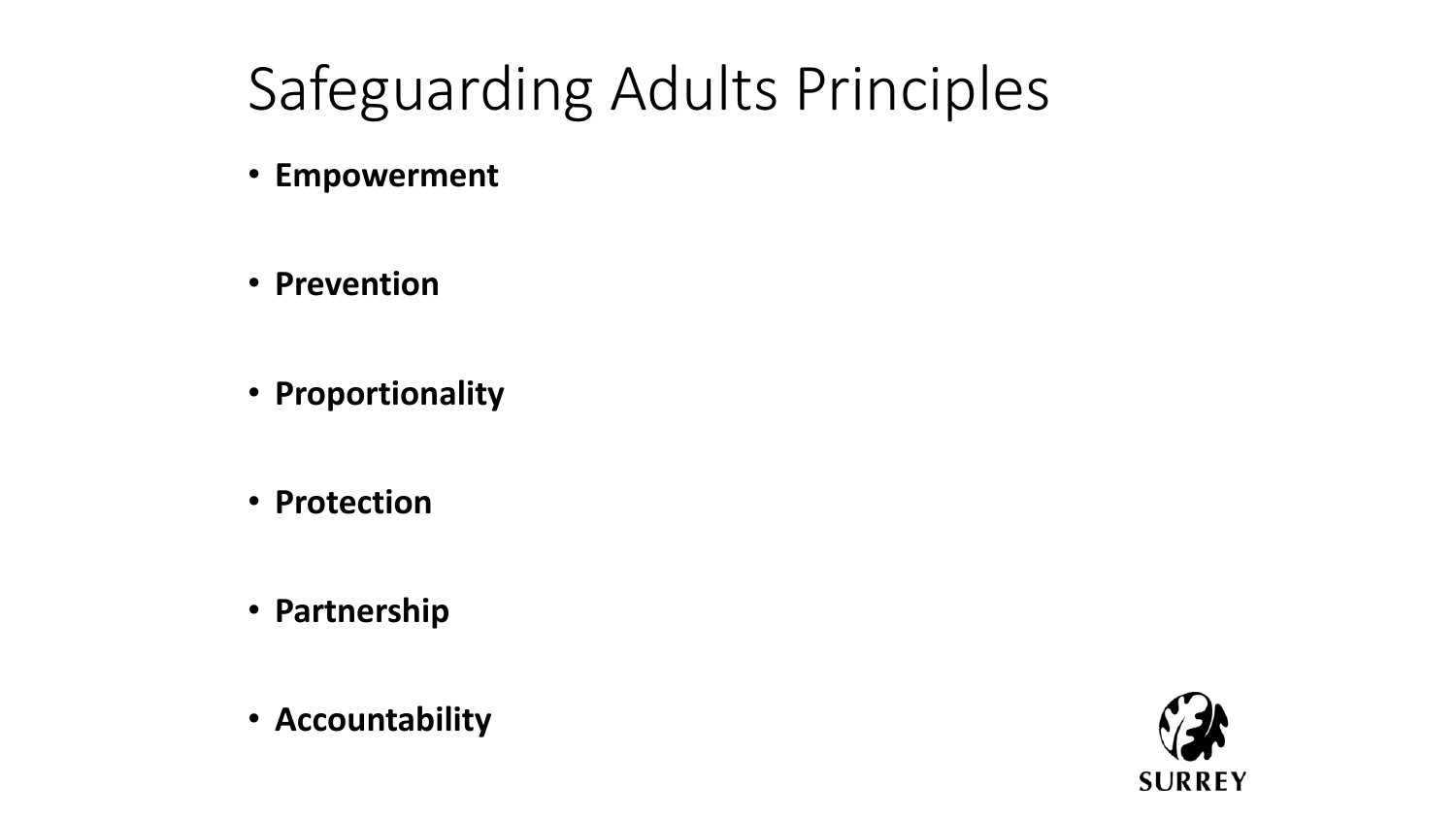## Safeguarding Adults Principles

- **Empowerment**
- **Prevention**
- **Proportionality**
- **Protection**
- **Partnership**
- **Accountability**